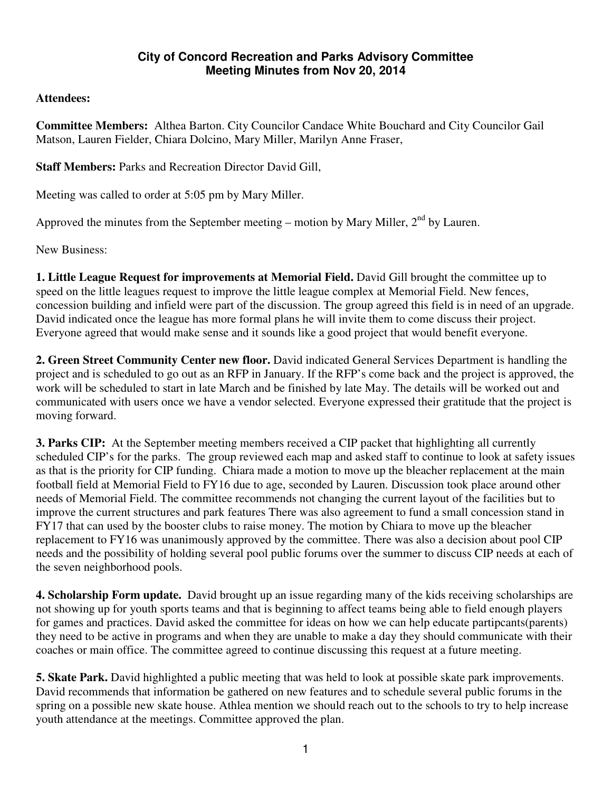## **City of Concord Recreation and Parks Advisory Committee Meeting Minutes from Nov 20, 2014**

## **Attendees:**

**Committee Members:** Althea Barton. City Councilor Candace White Bouchard and City Councilor Gail Matson, Lauren Fielder, Chiara Dolcino, Mary Miller, Marilyn Anne Fraser,

**Staff Members:** Parks and Recreation Director David Gill,

Meeting was called to order at 5:05 pm by Mary Miller.

Approved the minutes from the September meeting – motion by Mary Miller,  $2<sup>nd</sup>$  by Lauren.

New Business:

**1. Little League Request for improvements at Memorial Field.** David Gill brought the committee up to speed on the little leagues request to improve the little league complex at Memorial Field. New fences, concession building and infield were part of the discussion. The group agreed this field is in need of an upgrade. David indicated once the league has more formal plans he will invite them to come discuss their project. Everyone agreed that would make sense and it sounds like a good project that would benefit everyone.

**2. Green Street Community Center new floor.** David indicated General Services Department is handling the project and is scheduled to go out as an RFP in January. If the RFP's come back and the project is approved, the work will be scheduled to start in late March and be finished by late May. The details will be worked out and communicated with users once we have a vendor selected. Everyone expressed their gratitude that the project is moving forward.

**3. Parks CIP:** At the September meeting members received a CIP packet that highlighting all currently scheduled CIP's for the parks. The group reviewed each map and asked staff to continue to look at safety issues as that is the priority for CIP funding. Chiara made a motion to move up the bleacher replacement at the main football field at Memorial Field to FY16 due to age, seconded by Lauren. Discussion took place around other needs of Memorial Field. The committee recommends not changing the current layout of the facilities but to improve the current structures and park features There was also agreement to fund a small concession stand in FY17 that can used by the booster clubs to raise money. The motion by Chiara to move up the bleacher replacement to FY16 was unanimously approved by the committee. There was also a decision about pool CIP needs and the possibility of holding several pool public forums over the summer to discuss CIP needs at each of the seven neighborhood pools.

**4. Scholarship Form update.** David brought up an issue regarding many of the kids receiving scholarships are not showing up for youth sports teams and that is beginning to affect teams being able to field enough players for games and practices. David asked the committee for ideas on how we can help educate partipcants(parents) they need to be active in programs and when they are unable to make a day they should communicate with their coaches or main office. The committee agreed to continue discussing this request at a future meeting.

**5. Skate Park.** David highlighted a public meeting that was held to look at possible skate park improvements. David recommends that information be gathered on new features and to schedule several public forums in the spring on a possible new skate house. Athlea mention we should reach out to the schools to try to help increase youth attendance at the meetings. Committee approved the plan.